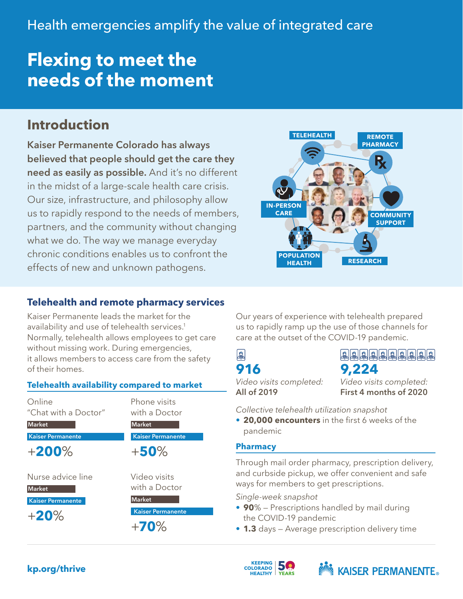# **Flexing to meet the needs of the moment**

# **Introduction**

Kaiser Permanente Colorado has always believed that people should get the care they need as easily as possible. And it's no different in the midst of a large-scale health care crisis. Our size, infrastructure, and philosophy allow us to rapidly respond to the needs of members, partners, and the community without changing what we do. The way we manage everyday chronic conditions enables us to confront the effects of new and unknown pathogens.



# **Telehealth and remote pharmacy services**

Kaiser Permanente leads the market for the availability and use of telehealth services.<sup>1</sup> Normally, telehealth allows employees to get care without missing work. During emergencies, it allows members to access care from the safety of their homes.

#### **Telehealth availability compared to market**

Online "Chat with a Doctor" Market Kaiser Permanente +**200**% Nurse advice line **Market** Kaiser Permanente +**20**% **Market** +**50**% with a Doctor **Market** 

Phone visits with a Doctor

Kaiser Permanente

Video visits

Kaiser Permanente

+**70**%

Our years of experience with telehealth prepared us to rapidly ramp up the use of those channels for care at the outset of the COVID-19 pandemic.



**916**

a a a a a a a a a a a **9,224**

*Video visits completed:*  All of 2019

*Video visits completed:*  First 4 months of 2020

*Collective telehealth utilization snapshot*

• **20,000 encounters** in the first 6 weeks of the pandemic

#### **Pharmacy**

Through mail order pharmacy, prescription delivery, and curbside pickup, we offer convenient and safe ways for members to get prescriptions.

*Single-week snapshot*

- **90**% Prescriptions handled by mail during the COVID-19 pandemic
- **1.3** days Average prescription delivery time